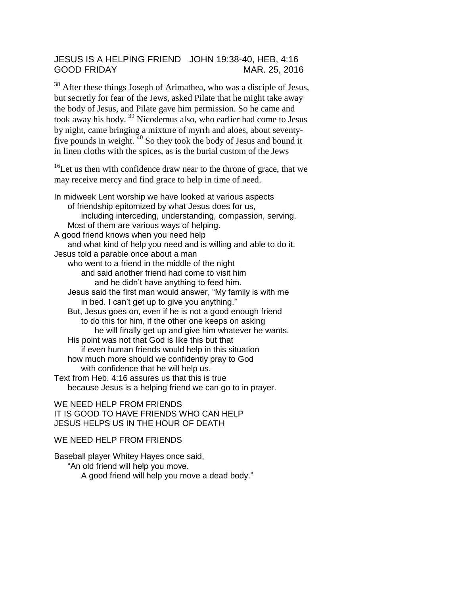## JESUS IS A HELPING FRIEND JOHN 19:38-40, HEB, 4:16 GOOD FRIDAY MAR. 25, 2016

<sup>38</sup> After these things Joseph of Arimathea, who was a disciple of Jesus, but secretly for fear of the Jews, asked Pilate that he might take away the body of Jesus, and Pilate gave him permission. So he came and took away his body. <sup>39</sup> Nicodemus also, who earlier had come to Jesus by night, came bringing a mixture of myrrh and aloes, about seventyfive pounds in weight. <sup>40</sup> So they took the body of Jesus and bound it in linen cloths with the spices, as is the burial custom of the Jews

 $16$ Let us then with confidence draw near to the throne of grace, that we may receive mercy and find grace to help in time of need.

In midweek Lent worship we have looked at various aspects of friendship epitomized by what Jesus does for us, including interceding, understanding, compassion, serving. Most of them are various ways of helping. A good friend knows when you need help and what kind of help you need and is willing and able to do it. Jesus told a parable once about a man who went to a friend in the middle of the night and said another friend had come to visit him and he didn't have anything to feed him. Jesus said the first man would answer, "My family is with me in bed. I can't get up to give you anything." But, Jesus goes on, even if he is not a good enough friend to do this for him, if the other one keeps on asking he will finally get up and give him whatever he wants. His point was not that God is like this but that if even human friends would help in this situation how much more should we confidently pray to God with confidence that he will help us. Text from Heb. 4:16 assures us that this is true because Jesus is a helping friend we can go to in prayer.

WE NEED HELP FROM FRIENDS IT IS GOOD TO HAVE FRIENDS WHO CAN HELP JESUS HELPS US IN THE HOUR OF DEATH

## WE NEED HELP FROM FRIENDS

Baseball player Whitey Hayes once said, "An old friend will help you move. A good friend will help you move a dead body."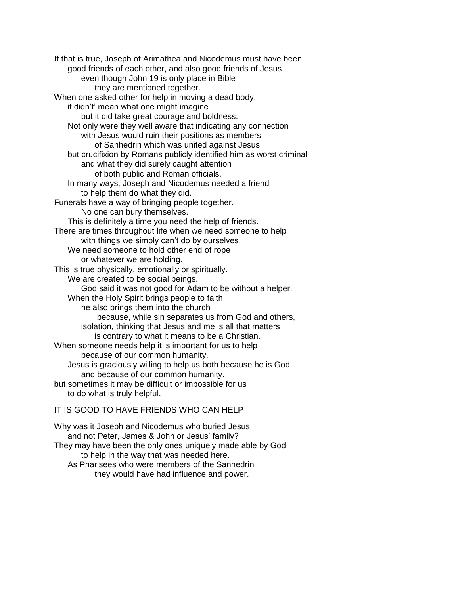If that is true, Joseph of Arimathea and Nicodemus must have been good friends of each other, and also good friends of Jesus even though John 19 is only place in Bible they are mentioned together. When one asked other for help in moving a dead body, it didn't' mean what one might imagine but it did take great courage and boldness. Not only were they well aware that indicating any connection with Jesus would ruin their positions as members of Sanhedrin which was united against Jesus but crucifixion by Romans publicly identified him as worst criminal and what they did surely caught attention of both public and Roman officials. In many ways, Joseph and Nicodemus needed a friend to help them do what they did. Funerals have a way of bringing people together. No one can bury themselves. This is definitely a time you need the help of friends. There are times throughout life when we need someone to help with things we simply can't do by ourselves. We need someone to hold other end of rope or whatever we are holding. This is true physically, emotionally or spiritually. We are created to be social beings. God said it was not good for Adam to be without a helper. When the Holy Spirit brings people to faith he also brings them into the church because, while sin separates us from God and others, isolation, thinking that Jesus and me is all that matters is contrary to what it means to be a Christian. When someone needs help it is important for us to help because of our common humanity. Jesus is graciously willing to help us both because he is God and because of our common humanity. but sometimes it may be difficult or impossible for us to do what is truly helpful. IT IS GOOD TO HAVE FRIENDS WHO CAN HELP

Why was it Joseph and Nicodemus who buried Jesus and not Peter, James & John or Jesus' family? They may have been the only ones uniquely made able by God to help in the way that was needed here.

As Pharisees who were members of the Sanhedrin they would have had influence and power.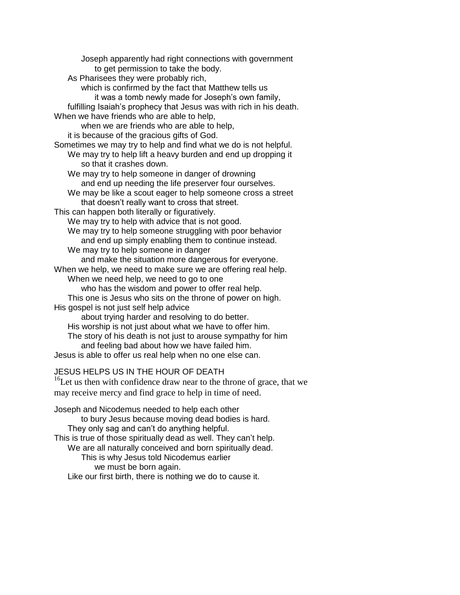Joseph apparently had right connections with government to get permission to take the body. As Pharisees they were probably rich, which is confirmed by the fact that Matthew tells us it was a tomb newly made for Joseph's own family, fulfilling Isaiah's prophecy that Jesus was with rich in his death. When we have friends who are able to help, when we are friends who are able to help, it is because of the gracious gifts of God. Sometimes we may try to help and find what we do is not helpful. We may try to help lift a heavy burden and end up dropping it so that it crashes down. We may try to help someone in danger of drowning and end up needing the life preserver four ourselves. We may be like a scout eager to help someone cross a street that doesn't really want to cross that street. This can happen both literally or figuratively. We may try to help with advice that is not good. We may try to help someone struggling with poor behavior and end up simply enabling them to continue instead. We may try to help someone in danger and make the situation more dangerous for everyone. When we help, we need to make sure we are offering real help. When we need help, we need to go to one who has the wisdom and power to offer real help. This one is Jesus who sits on the throne of power on high. His gospel is not just self help advice about trying harder and resolving to do better. His worship is not just about what we have to offer him. The story of his death is not just to arouse sympathy for him and feeling bad about how we have failed him. Jesus is able to offer us real help when no one else can. JESUS HELPS US IN THE HOUR OF DEATH  $16$ Let us then with confidence draw near to the throne of grace, that we may receive mercy and find grace to help in time of need. Joseph and Nicodemus needed to help each other to bury Jesus because moving dead bodies is hard.

They only sag and can't do anything helpful. This is true of those spiritually dead as well. They can't help. We are all naturally conceived and born spiritually dead. This is why Jesus told Nicodemus earlier we must be born again. Like our first birth, there is nothing we do to cause it.